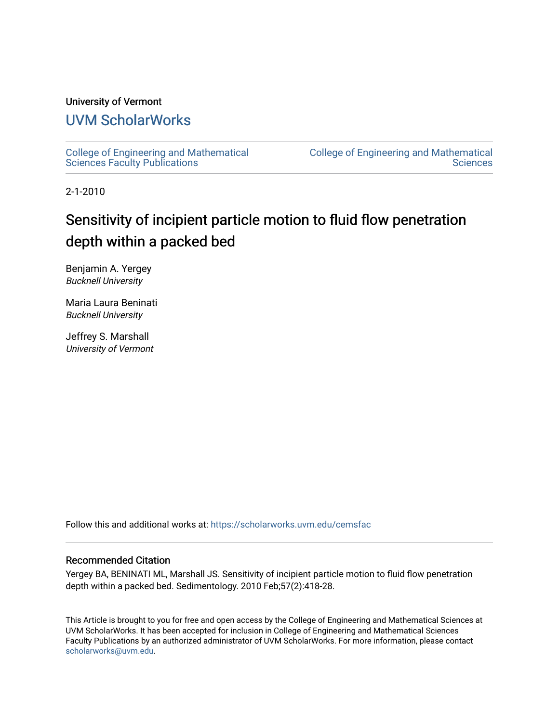# University of Vermont

# [UVM ScholarWorks](https://scholarworks.uvm.edu/)

[College of Engineering and Mathematical](https://scholarworks.uvm.edu/cemsfac)  [Sciences Faculty Publications](https://scholarworks.uvm.edu/cemsfac)

[College of Engineering and Mathematical](https://scholarworks.uvm.edu/cems)  **Sciences** 

2-1-2010

# Sensitivity of incipient particle motion to fluid flow penetration depth within a packed bed

Benjamin A. Yergey Bucknell University

Maria Laura Beninati Bucknell University

Jeffrey S. Marshall University of Vermont

Follow this and additional works at: [https://scholarworks.uvm.edu/cemsfac](https://scholarworks.uvm.edu/cemsfac?utm_source=scholarworks.uvm.edu%2Fcemsfac%2F71&utm_medium=PDF&utm_campaign=PDFCoverPages) 

## Recommended Citation

Yergey BA, BENINATI ML, Marshall JS. Sensitivity of incipient particle motion to fluid flow penetration depth within a packed bed. Sedimentology. 2010 Feb;57(2):418-28.

This Article is brought to you for free and open access by the College of Engineering and Mathematical Sciences at UVM ScholarWorks. It has been accepted for inclusion in College of Engineering and Mathematical Sciences Faculty Publications by an authorized administrator of UVM ScholarWorks. For more information, please contact [scholarworks@uvm.edu](mailto:scholarworks@uvm.edu).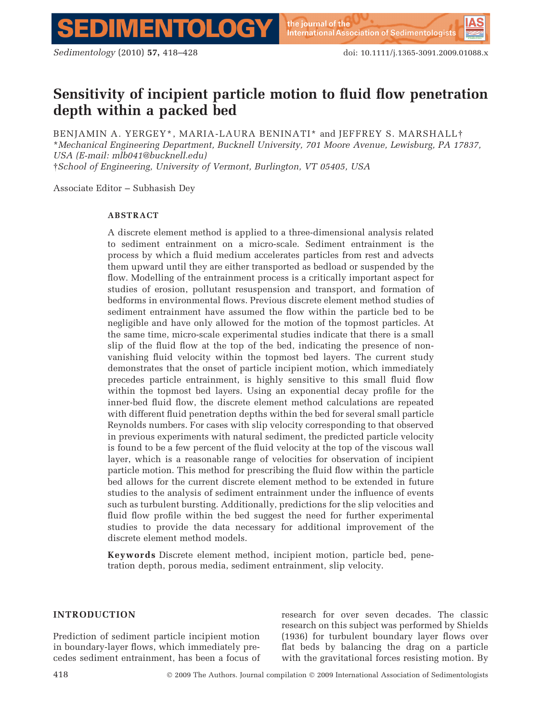**MENTOLOG** the journal of the

# Sensitivity of incipient particle motion to fluid flow penetration depth within a packed bed

BENJAMIN A. YERGEY\*, MARIA-LAURA BENINATI\* and JEFFREY S. MARSHALL- \*Mechanical Engineering Department, Bucknell University, 701 Moore Avenue, Lewisburg, PA 17837, USA (E-mail: mlb041@bucknell.edu) -School of Engineering, University of Vermont, Burlington, VT 05405, USA

Associate Editor – Subhasish Dey

## ABSTRACT

A discrete element method is applied to a three-dimensional analysis related to sediment entrainment on a micro-scale. Sediment entrainment is the process by which a fluid medium accelerates particles from rest and advects them upward until they are either transported as bedload or suspended by the flow. Modelling of the entrainment process is a critically important aspect for studies of erosion, pollutant resuspension and transport, and formation of bedforms in environmental flows. Previous discrete element method studies of sediment entrainment have assumed the flow within the particle bed to be negligible and have only allowed for the motion of the topmost particles. At the same time, micro-scale experimental studies indicate that there is a small slip of the fluid flow at the top of the bed, indicating the presence of nonvanishing fluid velocity within the topmost bed layers. The current study demonstrates that the onset of particle incipient motion, which immediately precedes particle entrainment, is highly sensitive to this small fluid flow within the topmost bed layers. Using an exponential decay profile for the inner-bed fluid flow, the discrete element method calculations are repeated with different fluid penetration depths within the bed for several small particle Reynolds numbers. For cases with slip velocity corresponding to that observed in previous experiments with natural sediment, the predicted particle velocity is found to be a few percent of the fluid velocity at the top of the viscous wall layer, which is a reasonable range of velocities for observation of incipient particle motion. This method for prescribing the fluid flow within the particle bed allows for the current discrete element method to be extended in future studies to the analysis of sediment entrainment under the influence of events such as turbulent bursting. Additionally, predictions for the slip velocities and fluid flow profile within the bed suggest the need for further experimental studies to provide the data necessary for additional improvement of the discrete element method models.

Keywords Discrete element method, incipient motion, particle bed, penetration depth, porous media, sediment entrainment, slip velocity.

# INTRODUCTION

Prediction of sediment particle incipient motion in boundary-layer flows, which immediately precedes sediment entrainment, has been a focus of research for over seven decades. The classic research on this subject was performed by Shields (1936) for turbulent boundary layer flows over flat beds by balancing the drag on a particle with the gravitational forces resisting motion. By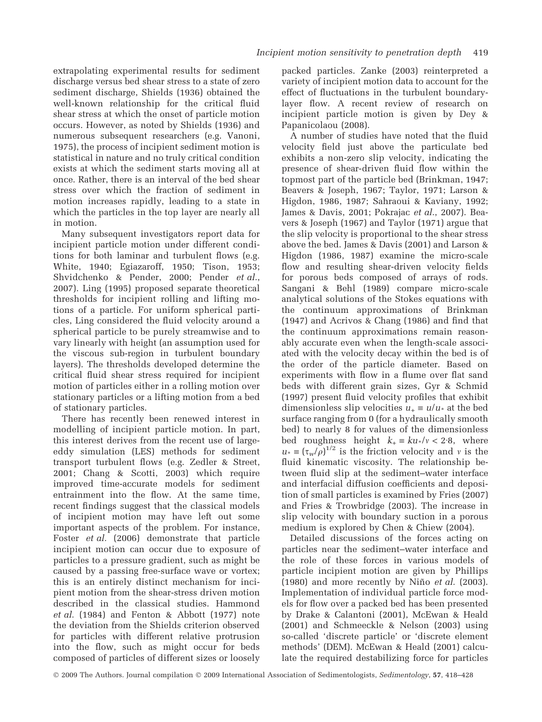extrapolating experimental results for sediment discharge versus bed shear stress to a state of zero sediment discharge, Shields (1936) obtained the well-known relationship for the critical fluid shear stress at which the onset of particle motion occurs. However, as noted by Shields (1936) and numerous subsequent researchers (e.g. Vanoni, 1975), the process of incipient sediment motion is statistical in nature and no truly critical condition exists at which the sediment starts moving all at once. Rather, there is an interval of the bed shear stress over which the fraction of sediment in motion increases rapidly, leading to a state in which the particles in the top layer are nearly all in motion.

Many subsequent investigators report data for incipient particle motion under different conditions for both laminar and turbulent flows (e.g. White, 1940; Egiazaroff, 1950; Tison, 1953; Shvidchenko & Pender, 2000; Pender et al., 2007). Ling (1995) proposed separate theoretical thresholds for incipient rolling and lifting motions of a particle. For uniform spherical particles, Ling considered the fluid velocity around a spherical particle to be purely streamwise and to vary linearly with height (an assumption used for the viscous sub-region in turbulent boundary layers). The thresholds developed determine the critical fluid shear stress required for incipient motion of particles either in a rolling motion over stationary particles or a lifting motion from a bed of stationary particles.

There has recently been renewed interest in modelling of incipient particle motion. In part, this interest derives from the recent use of largeeddy simulation (LES) methods for sediment transport turbulent flows (e.g. Zedler & Street, 2001; Chang & Scotti, 2003) which require improved time-accurate models for sediment entrainment into the flow. At the same time, recent findings suggest that the classical models of incipient motion may have left out some important aspects of the problem. For instance, Foster et al. (2006) demonstrate that particle incipient motion can occur due to exposure of particles to a pressure gradient, such as might be caused by a passing free-surface wave or vortex; this is an entirely distinct mechanism for incipient motion from the shear-stress driven motion described in the classical studies. Hammond et al. (1984) and Fenton & Abbott (1977) note the deviation from the Shields criterion observed for particles with different relative protrusion into the flow, such as might occur for beds composed of particles of different sizes or loosely

packed particles. Zanke (2003) reinterpreted a variety of incipient motion data to account for the effect of fluctuations in the turbulent boundarylayer flow. A recent review of research on incipient particle motion is given by Dey & Papanicolaou (2008).

A number of studies have noted that the fluid velocity field just above the particulate bed exhibits a non-zero slip velocity, indicating the presence of shear-driven fluid flow within the topmost part of the particle bed (Brinkman, 1947; Beavers & Joseph, 1967; Taylor, 1971; Larson & Higdon, 1986, 1987; Sahraoui & Kaviany, 1992; James & Davis, 2001; Pokrajac et al., 2007). Beavers & Joseph (1967) and Taylor (1971) argue that the slip velocity is proportional to the shear stress above the bed. James & Davis (2001) and Larson & Higdon (1986, 1987) examine the micro-scale flow and resulting shear-driven velocity fields for porous beds composed of arrays of rods. Sangani & Behl (1989) compare micro-scale analytical solutions of the Stokes equations with the continuum approximations of Brinkman (1947) and Acrivos & Chang (1986) and find that the continuum approximations remain reasonably accurate even when the length-scale associated with the velocity decay within the bed is of the order of the particle diameter. Based on experiments with flow in a flume over flat sand beds with different grain sizes, Gyr & Schmid (1997) present fluid velocity profiles that exhibit dimensionless slip velocities  $u_+ = u/u_*$  at the bed surface ranging from 0 (for a hydraulically smooth bed) to nearly 8 for values of the dimensionless bed roughness height  $k_{+} = k u_{*}/v < 2.8$ , where  $u_* \equiv (\tau_w / \rho)^{1/2}$  is the friction velocity and v is the fluid kinematic viscosity. The relationship between fluid slip at the sediment–water interface and interfacial diffusion coefficients and deposition of small particles is examined by Fries (2007) and Fries & Trowbridge (2003). The increase in slip velocity with boundary suction in a porous medium is explored by Chen & Chiew (2004).

Detailed discussions of the forces acting on particles near the sediment–water interface and the role of these forces in various models of particle incipient motion are given by Phillips (1980) and more recently by Niño  $et$   $al.$  (2003). Implementation of individual particle force models for flow over a packed bed has been presented by Drake & Calantoni (2001), McEwan & Heald (2001) and Schmeeckle & Nelson (2003) using so-called 'discrete particle' or 'discrete element methods' (DEM). McEwan & Heald (2001) calculate the required destabilizing force for particles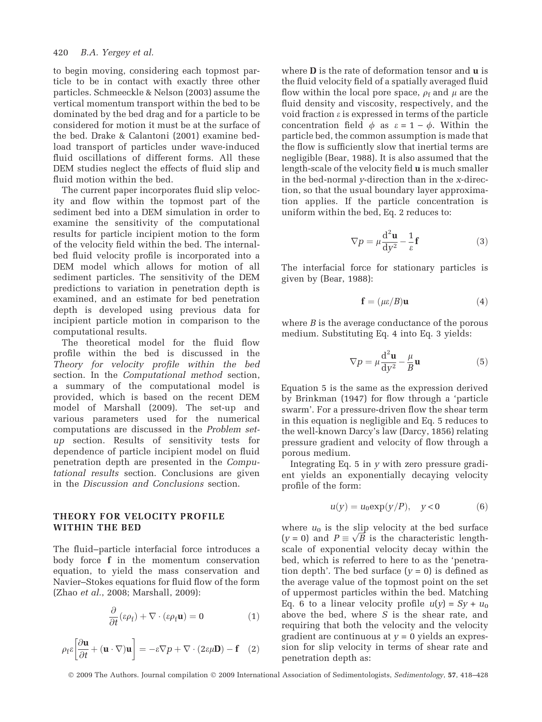to begin moving, considering each topmost particle to be in contact with exactly three other particles. Schmeeckle & Nelson (2003) assume the vertical momentum transport within the bed to be dominated by the bed drag and for a particle to be considered for motion it must be at the surface of the bed. Drake & Calantoni (2001) examine bedload transport of particles under wave-induced fluid oscillations of different forms. All these DEM studies neglect the effects of fluid slip and fluid motion within the bed.

The current paper incorporates fluid slip velocity and flow within the topmost part of the sediment bed into a DEM simulation in order to examine the sensitivity of the computational results for particle incipient motion to the form of the velocity field within the bed. The internalbed fluid velocity profile is incorporated into a DEM model which allows for motion of all sediment particles. The sensitivity of the DEM predictions to variation in penetration depth is examined, and an estimate for bed penetration depth is developed using previous data for incipient particle motion in comparison to the computational results.

The theoretical model for the fluid flow profile within the bed is discussed in the Theory for velocity profile within the bed section. In the Computational method section, a summary of the computational model is provided, which is based on the recent DEM model of Marshall (2009). The set-up and various parameters used for the numerical computations are discussed in the Problem setup section. Results of sensitivity tests for dependence of particle incipient model on fluid penetration depth are presented in the Computational results section. Conclusions are given in the Discussion and Conclusions section.

# THEORY FOR VELOCITY PROFILE WITHIN THE BED

The fluid–particle interfacial force introduces a body force f in the momentum conservation equation, to yield the mass conservation and Navier–Stokes equations for fluid flow of the form (Zhao et al., 2008; Marshall, 2009):

$$
\frac{\partial}{\partial t}(\varepsilon \rho_f) + \nabla \cdot (\varepsilon \rho_f \mathbf{u}) = 0 \tag{1}
$$

$$
\rho_{\mathbf{f}} \mathcal{E} \left[ \frac{\partial \mathbf{u}}{\partial t} + (\mathbf{u} \cdot \nabla) \mathbf{u} \right] = -\mathcal{E} \nabla p + \nabla \cdot (2 \mathcal{E} \mu \mathbf{D}) - \mathbf{f} \quad (2)
$$

where **D** is the rate of deformation tensor and **u** is the fluid velocity field of a spatially averaged fluid flow within the local pore space,  $\rho_f$  and  $\mu$  are the fluid density and viscosity, respectively, and the void fraction  $\varepsilon$  is expressed in terms of the particle concentration field  $\phi$  as  $\varepsilon = 1 - \phi$ . Within the particle bed, the common assumption is made that the flow is sufficiently slow that inertial terms are negligible (Bear, 1988). It is also assumed that the length-scale of the velocity field u is much smaller in the bed-normal y-direction than in the x-direction, so that the usual boundary layer approximation applies. If the particle concentration is uniform within the bed, Eq. 2 reduces to:

$$
\nabla p = \mu \frac{\mathrm{d}^2 \mathbf{u}}{\mathrm{d} y^2} - \frac{1}{\varepsilon} \mathbf{f}
$$
 (3)

The interfacial force for stationary particles is given by (Bear, 1988):

$$
\mathbf{f} = (\mu \varepsilon / B) \mathbf{u} \tag{4}
$$

where  $B$  is the average conductance of the porous medium. Substituting Eq. 4 into Eq. 3 yields:

$$
\nabla p = \mu \frac{\mathrm{d}^2 \mathbf{u}}{\mathrm{d} y^2} - \frac{\mu}{B} \mathbf{u}
$$
 (5)

Equation 5 is the same as the expression derived by Brinkman (1947) for flow through a 'particle swarm'. For a pressure-driven flow the shear term in this equation is negligible and Eq. 5 reduces to the well-known Darcy's law (Darcy, 1856) relating pressure gradient and velocity of flow through a porous medium.

Integrating Eq.  $5$  in  $v$  with zero pressure gradient yields an exponentially decaying velocity profile of the form:

$$
u(y) = u_0 \exp(y/P), \quad y < 0 \tag{6}
$$

where  $u_0$  is the slip velocity at the bed surface where  $u_0$  is the sitp velocity at the bed surface<br>(y = 0) and  $P \equiv \sqrt{B}$  is the characteristic lengthscale of exponential velocity decay within the bed, which is referred to here to as the 'penetration depth'. The bed surface  $(y = 0)$  is defined as the average value of the topmost point on the set of uppermost particles within the bed. Matching Eq. 6 to a linear velocity profile  $u(y) = Sy + u_0$ above the bed, where  $S$  is the shear rate, and requiring that both the velocity and the velocity gradient are continuous at  $y = 0$  yields an expression for slip velocity in terms of shear rate and penetration depth as: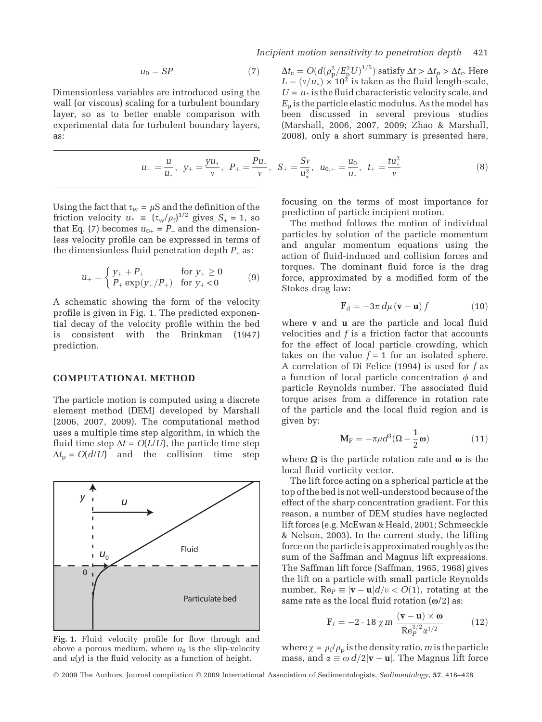$$
u_0 = SP \tag{7}
$$

Dimensionless variables are introduced using the wall (or viscous) scaling for a turbulent boundary layer, so as to better enable comparison with experimental data for turbulent boundary layers, as:

$$
u_{+} = \frac{u}{u_{*}}, \ \ y_{+} = \frac{yu_{*}}{v}, \ \ P_{+} = \frac{Pu_{*}}{v}, \ \ S_{+} = \frac{Sv}{u_{*}^{2}}, \ \ u_{0,+} = \frac{u_{0}}{u_{*}}, \ \ t_{+} = \frac{tu_{*}^{2}}{v}
$$
(8)

Using the fact that  $\tau_w = \mu S$  and the definition of the friction velocity  $u_* \equiv (\tau_w/\rho_f)^{1/2}$  gives  $S_+ = 1$ , so that Eq. (7) becomes  $u_{0+} = P_+$  and the dimensionless velocity profile can be expressed in terms of the dimensionless fluid penetration depth  $P_+$  as:

$$
u_{+} = \begin{cases} y_{+} + P_{+} & \text{for } y_{+} \ge 0 \\ P_{+} \exp(y_{+}/P_{+}) & \text{for } y_{+} < 0 \end{cases}
$$
 (9)

A schematic showing the form of the velocity profile is given in Fig. 1. The predicted exponential decay of the velocity profile within the bed is consistent with the Brinkman (1947) prediction.

#### COMPUTATIONAL METHOD

The particle motion is computed using a discrete element method (DEM) developed by Marshall (2006, 2007, 2009). The computational method uses a multiple time step algorithm, in which the fluid time step  $\Delta t = O(L/U)$ , the particle time step  $\Delta t_{\rm p} = O(d/U)$  and the collision time step



Fig. 1. Fluid velocity profile for flow through and above a porous medium, where  $u_0$  is the slip-velocity and  $u(y)$  is the fluid velocity as a function of height.

 $\Delta t_c = O(d(\rho_p^2/E_p^2 U)^{1/5})$  satisfy  $\Delta t > \Delta t_p > \Delta t_c$ . Here  $L = (v/u_*) \times 10^2$  is taken as the fluid length-scale,  $U = u_*$  is the fluid characteristic velocity scale, and  $E_p$  is the particle elastic modulus. As the model has been discussed in several previous studies (Marshall, 2006, 2007, 2009; Zhao & Marshall, 2008), only a short summary is presented here,

focusing on the terms of most importance for prediction of particle incipient motion.

The method follows the motion of individual particles by solution of the particle momentum and angular momentum equations using the action of fluid-induced and collision forces and torques. The dominant fluid force is the drag force, approximated by a modified form of the Stokes drag law:

$$
\mathbf{F}_{\mathrm{d}} = -3\pi \, d\mu \left(\mathbf{v} - \mathbf{u}\right) f \tag{10}
$$

where v and u are the particle and local fluid velocities and  $f$  is a friction factor that accounts for the effect of local particle crowding, which takes on the value  $f = 1$  for an isolated sphere. A correlation of Di Felice (1994) is used for  $f$  as a function of local particle concentration  $\phi$  and particle Reynolds number. The associated fluid torque arises from a difference in rotation rate of the particle and the local fluid region and is given by:

$$
\mathbf{M}_{\mathrm{F}} = -\pi \mu d^3 (\Omega - \frac{1}{2}\mathbf{\omega}) \tag{11}
$$

where  $\Omega$  is the particle rotation rate and  $\omega$  is the local fluid vorticity vector.

The lift force acting on a spherical particle at the top of the bed is not well-understood because of the effect of the sharp concentration gradient. For this reason, a number of DEM studies have neglected lift forces (e.g. McEwan & Heald, 2001; Schmeeckle & Nelson, 2003). In the current study, the lifting force on the particle is approximated roughly as the sum of the Saffman and Magnus lift expressions. The Saffman lift force (Saffman, 1965, 1968) gives the lift on a particle with small particle Reynolds number,  $\text{Re}_P \equiv |\mathbf{v} - \mathbf{u}| d/v < O(1)$ , rotating at the same rate as the local fluid rotation  $(\omega/2)$  as:

$$
\mathbf{F}_{\ell} = -2 \cdot 18 \ \chi \, m \, \frac{(\mathbf{v} - \mathbf{u}) \times \mathbf{\omega}}{\mathrm{Re}_p^{1/2} \alpha^{1/2}} \tag{12}
$$

where  $\chi = \rho_f/\rho_p$  is the density ratio, *m* is the particle mass, and  $\alpha \equiv \omega d/2|\mathbf{v} - \mathbf{u}|$ . The Magnus lift force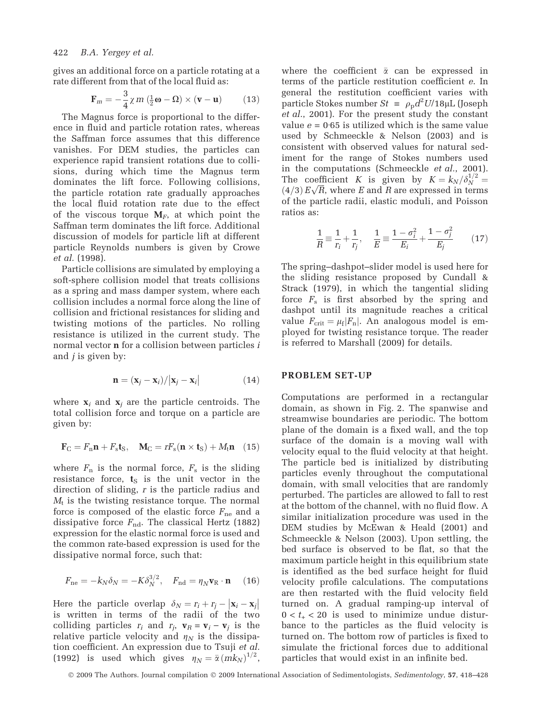gives an additional force on a particle rotating at a rate different from that of the local fluid as:

$$
\mathbf{F}_m = -\frac{3}{4}\chi \, m \left(\frac{1}{2}\mathbf{\omega} - \Omega\right) \times (\mathbf{v} - \mathbf{u}) \tag{13}
$$

The Magnus force is proportional to the difference in fluid and particle rotation rates, whereas the Saffman force assumes that this difference vanishes. For DEM studies, the particles can experience rapid transient rotations due to collisions, during which time the Magnus term dominates the lift force. Following collisions, the particle rotation rate gradually approaches the local fluid rotation rate due to the effect of the viscous torque  $M_F$ , at which point the Saffman term dominates the lift force. Additional discussion of models for particle lift at different particle Reynolds numbers is given by Crowe et al. (1998).

Particle collisions are simulated by employing a soft-sphere collision model that treats collisions as a spring and mass damper system, where each collision includes a normal force along the line of collision and frictional resistances for sliding and twisting motions of the particles. No rolling resistance is utilized in the current study. The normal vector **n** for a collision between particles *i* and  $j$  is given by:

$$
\mathbf{n} = (\mathbf{x}_j - \mathbf{x}_i) / |\mathbf{x}_j - \mathbf{x}_i| \tag{14}
$$

where  $x_i$  and  $x_i$  are the particle centroids. The total collision force and torque on a particle are given by:

$$
\mathbf{F}_{\mathrm{C}} = F_{\mathrm{n}} \mathbf{n} + F_{\mathrm{s}} \mathbf{t}_{\mathrm{S}}, \quad \mathbf{M}_{\mathrm{C}} = r F_{\mathrm{s}} (\mathbf{n} \times \mathbf{t}_{\mathrm{S}}) + M_{\mathrm{t}} \mathbf{n} \quad (15)
$$

where  $F_n$  is the normal force,  $F_s$  is the sliding resistance force,  $t<sub>S</sub>$  is the unit vector in the direction of sliding, r is the particle radius and  $M_t$  is the twisting resistance torque. The normal force is composed of the elastic force  $F_{\text{ne}}$  and a dissipative force  $F_{\text{nd}}$ . The classical Hertz (1882) expression for the elastic normal force is used and the common rate-based expression is used for the dissipative normal force, such that:

$$
F_{\text{ne}} = -k_N \delta_N = -K \delta_N^{3/2}, \quad F_{\text{nd}} = \eta_N \mathbf{v}_R \cdot \mathbf{n} \quad (16)
$$

Here the particle overlap  $\delta_N = r_i + r_j - |\mathbf{x}_i - \mathbf{x}_j|$ is written in terms of the radii of the two colliding particles  $r_i$  and  $r_j$ ,  $\mathbf{v}_R = \mathbf{v}_i - \mathbf{v}_j$  is the relative particle velocity and  $\eta_N$  is the dissipation coefficient. An expression due to Tsuji et al. (1992) is used which gives  $\eta_N = \bar{\alpha} (m k_N)^{1/2}$ , where the coefficient  $\bar{\alpha}$  can be expressed in terms of the particle restitution coefficient e. In general the restitution coefficient varies with particle Stokes number  $St = \rho_p d^2 U/18 \mu L$  (Joseph et al., 2001). For the present study the constant value  $e = 0.65$  is utilized which is the same value used by Schmeeckle & Nelson (2003) and is consistent with observed values for natural sediment for the range of Stokes numbers used in the computations (Schmeeckle et al., 2001). The coefficient K is given by  $K = k_N / \delta_N^{1/2} =$ The coefficient **K** is given by  $K = K_N / o_N$  =  $(4/3) E\sqrt{R}$ , where *E* and *R* are expressed in terms of the particle radii, elastic moduli, and Poisson ratios as:

$$
\frac{1}{R} \equiv \frac{1}{r_i} + \frac{1}{r_j}, \quad \frac{1}{E} \equiv \frac{1 - \sigma_i^2}{E_i} + \frac{1 - \sigma_j^2}{E_j} \qquad (17)
$$

The spring–dashpot–slider model is used here for the sliding resistance proposed by Cundall & Strack (1979), in which the tangential sliding force  $F_s$  is first absorbed by the spring and dashpot until its magnitude reaches a critical value  $F_{\text{crit}} = \mu_f |F_n|$ . An analogous model is employed for twisting resistance torque. The reader is referred to Marshall (2009) for details.

#### PROBLEM SET-UP

Computations are performed in a rectangular domain, as shown in Fig. 2. The spanwise and streamwise boundaries are periodic. The bottom plane of the domain is a fixed wall, and the top surface of the domain is a moving wall with velocity equal to the fluid velocity at that height. The particle bed is initialized by distributing particles evenly throughout the computational domain, with small velocities that are randomly perturbed. The particles are allowed to fall to rest at the bottom of the channel, with no fluid flow. A similar initialization procedure was used in the DEM studies by McEwan & Heald (2001) and Schmeeckle & Nelson (2003). Upon settling, the bed surface is observed to be flat, so that the maximum particle height in this equilibrium state is identified as the bed surface height for fluid velocity profile calculations. The computations are then restarted with the fluid velocity field turned on. A gradual ramping-up interval of  $0 < t_{+} < 20$  is used to minimize undue disturbance to the particles as the fluid velocity is turned on. The bottom row of particles is fixed to simulate the frictional forces due to additional particles that would exist in an infinite bed.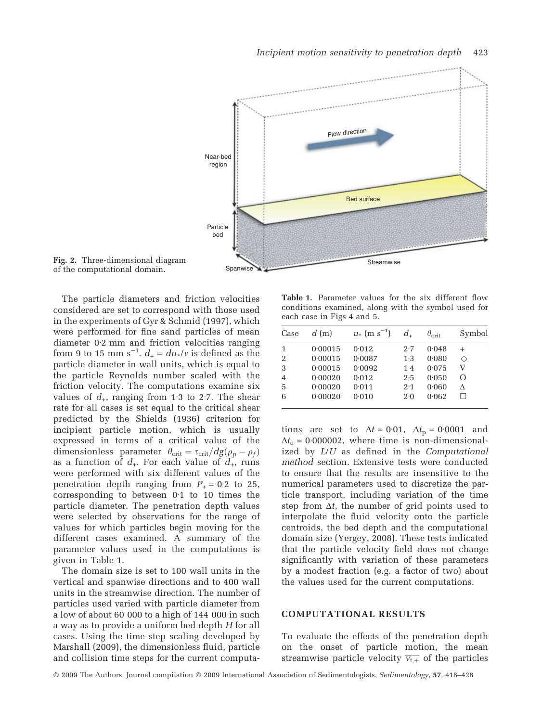

Fig. 2. Three-dimensional diagram of the computational domain.

The particle diameters and friction velocities considered are set to correspond with those used in the experiments of Gyr & Schmid (1997), which were performed for fine sand particles of mean diameter  $0.2$  mm and friction velocities ranging from 9 to 15 mm s<sup>-1</sup>.  $d_+ = du_*/v$  is defined as the particle diameter in wall units, which is equal to the particle Reynolds number scaled with the friction velocity. The computations examine six values of  $d_{+}$ , ranging from 1.3 to 2.7. The shear rate for all cases is set equal to the critical shear predicted by the Shields (1936) criterion for incipient particle motion, which is usually expressed in terms of a critical value of the dimensionless parameter  $\theta_{\rm crit}=\tau_{\rm crit}/dg(\rho_p-\rho_f)$ as a function of  $d_{+}$ . For each value of  $d_{+}$ , runs were performed with six different values of the penetration depth ranging from  $P_+ = 0.2$  to 25, corresponding to between  $0.1$  to 10 times the particle diameter. The penetration depth values were selected by observations for the range of values for which particles begin moving for the different cases examined. A summary of the parameter values used in the computations is given in Table 1.

The domain size is set to 100 wall units in the vertical and spanwise directions and to 400 wall units in the streamwise direction. The number of particles used varied with particle diameter from a low of about 60 000 to a high of 144 000 in such a way as to provide a uniform bed depth H for all cases. Using the time step scaling developed by Marshall (2009), the dimensionless fluid, particle and collision time steps for the current computa-

Table 1. Parameter values for the six different flow conditions examined, along with the symbol used for each case in Figs 4 and 5.

| Case | d(m)    | $u_*$ (m s <sup>-1</sup> ) | $d_{+}$ | $\theta_{\rm crit}$ | Symbol           |
|------|---------|----------------------------|---------|---------------------|------------------|
| 1    | 0.00015 | 0.012                      | 2.7     | 0.048               | $^{+}$           |
| 2    | 0.00015 | 0.0087                     | 1.3     | 0.080               |                  |
| 3    | 0.00015 | 0.0092                     | 1.4     | 0.075               |                  |
| 4    | 0.00020 | 0.012                      | 2.5     | 0.050               | $\left( \right)$ |
| 5    | 0.00020 | 0.011                      | 2.1     | 0.060               | л                |
| 6    | 0.00020 | 0.010                      | 2.0     | 0.062               |                  |
|      |         |                            |         |                     |                  |

tions are set to  $\Delta t = 0.01$ ,  $\Delta t_p = 0.0001$  and  $\Delta t_c = 0.000002$ , where time is non-dimensionalized by L/U as defined in the Computational method section. Extensive tests were conducted to ensure that the results are insensitive to the numerical parameters used to discretize the particle transport, including variation of the time step from  $\Delta t$ , the number of grid points used to interpolate the fluid velocity onto the particle centroids, the bed depth and the computational domain size (Yergey, 2008). These tests indicated that the particle velocity field does not change significantly with variation of these parameters by a modest fraction (e.g. a factor of two) about the values used for the current computations.

# COMPUTATIONAL RESULTS

To evaluate the effects of the penetration depth on the onset of particle motion, the mean streamwise particle velocity  $\overline{v_{t,+}}$  of the particles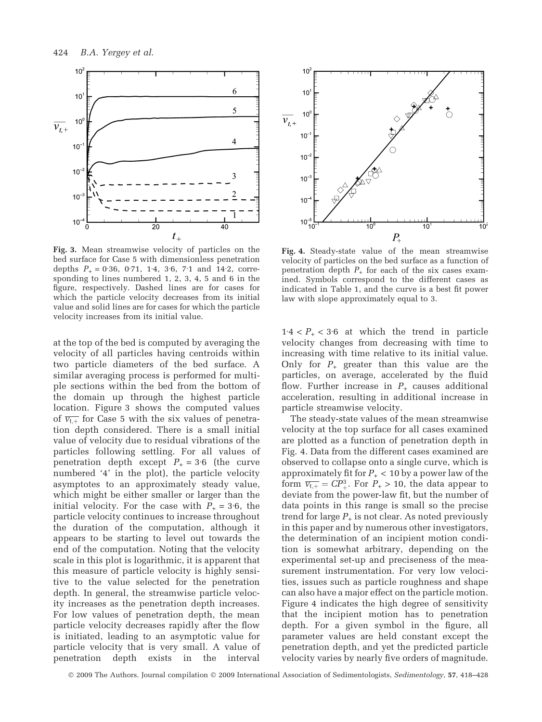

Fig. 3. Mean streamwise velocity of particles on the bed surface for Case 5 with dimensionless penetration depths  $P_+ = 0.36$ , 0.71, 1.4, 3.6, 7.1 and 14.2, corresponding to lines numbered 1, 2, 3, 4, 5 and 6 in the figure, respectively. Dashed lines are for cases for which the particle velocity decreases from its initial value and solid lines are for cases for which the particle velocity increases from its initial value.

at the top of the bed is computed by averaging the velocity of all particles having centroids within two particle diameters of the bed surface. A similar averaging process is performed for multiple sections within the bed from the bottom of the domain up through the highest particle location. Figure 3 shows the computed values of  $\overline{v_{t,+}}$  for Case 5 with the six values of penetration depth considered. There is a small initial value of velocity due to residual vibrations of the particles following settling. For all values of penetration depth except  $P_+ = 3.6$  (the curve numbered '4' in the plot), the particle velocity asymptotes to an approximately steady value, which might be either smaller or larger than the initial velocity. For the case with  $P_+ = 3.6$ , the particle velocity continues to increase throughout the duration of the computation, although it appears to be starting to level out towards the end of the computation. Noting that the velocity scale in this plot is logarithmic, it is apparent that this measure of particle velocity is highly sensitive to the value selected for the penetration depth. In general, the streamwise particle velocity increases as the penetration depth increases. For low values of penetration depth, the mean particle velocity decreases rapidly after the flow is initiated, leading to an asymptotic value for particle velocity that is very small. A value of penetration depth exists in the interval



Fig. 4. Steady-state value of the mean streamwise velocity of particles on the bed surface as a function of penetration depth  $P_+$  for each of the six cases examined. Symbols correspond to the different cases as indicated in Table 1, and the curve is a best fit power law with slope approximately equal to 3.

 $1.4 < P_{+} < 3.6$  at which the trend in particle velocity changes from decreasing with time to increasing with time relative to its initial value. Only for  $P_+$  greater than this value are the particles, on average, accelerated by the fluid flow. Further increase in  $P_+$  causes additional acceleration, resulting in additional increase in particle streamwise velocity.

The steady-state values of the mean streamwise velocity at the top surface for all cases examined are plotted as a function of penetration depth in Fig. 4. Data from the different cases examined are observed to collapse onto a single curve, which is approximately fit for  $P_{+}$  < 10 by a power law of the form  $\overline{v_{t,+}} = CP^3_+$ . For  $P_+ > 10$ , the data appear to deviate from the power-law fit, but the number of data points in this range is small so the precise trend for large  $P_+$  is not clear. As noted previously in this paper and by numerous other investigators, the determination of an incipient motion condition is somewhat arbitrary, depending on the experimental set-up and preciseness of the measurement instrumentation. For very low velocities, issues such as particle roughness and shape can also have a major effect on the particle motion. Figure 4 indicates the high degree of sensitivity that the incipient motion has to penetration depth. For a given symbol in the figure, all parameter values are held constant except the penetration depth, and yet the predicted particle velocity varies by nearly five orders of magnitude.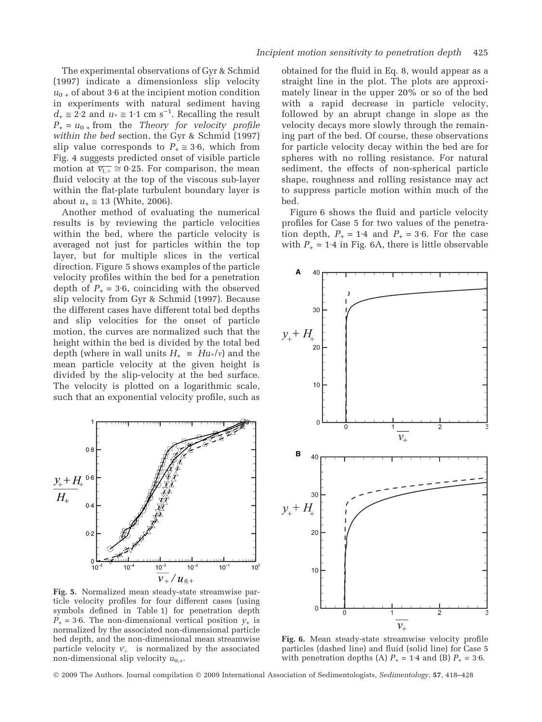The experimental observations of Gyr & Schmid (1997) indicate a dimensionless slip velocity  $u_{0+}$  of about 3.6 at the incipient motion condition in experiments with natural sediment having  $d_{+} \approx 2.2$  and  $u_{*} \approx 1.1$  cm s<sup>-1</sup>. Recalling the result  $P_+ = u_{0+}$  from the Theory for velocity profile within the bed section, the Gyr & Schmid (1997) slip value corresponds to  $P_+ \cong 3.6$ , which from Fig. 4 suggests predicted onset of visible particle motion at  $\overline{v_{t,+}} \cong 0.25$ . For comparison, the mean fluid velocity at the top of the viscous sub-layer within the flat-plate turbulent boundary layer is about  $u_+ \approx 13$  (White, 2006).

Another method of evaluating the numerical results is by reviewing the particle velocities within the bed, where the particle velocity is averaged not just for particles within the top layer, but for multiple slices in the vertical direction. Figure 5 shows examples of the particle velocity profiles within the bed for a penetration depth of  $P_+ = 3.6$ , coinciding with the observed slip velocity from Gyr & Schmid (1997). Because the different cases have different total bed depths and slip velocities for the onset of particle motion, the curves are normalized such that the height within the bed is divided by the total bed depth (where in wall units  $H_+ \equiv Hu_*/v$ ) and the mean particle velocity at the given height is divided by the slip-velocity at the bed surface. The velocity is plotted on a logarithmic scale, such that an exponential velocity profile, such as



Fig. 5. Normalized mean steady-state streamwise particle velocity profiles for four different cases (using symbols defined in Table 1) for penetration depth  $P_+ = 3.6$ . The non-dimensional vertical position  $y_+$  is normalized by the associated non-dimensional particle bed depth, and the non-dimensional mean streamwise particle velocity  $\bar{v_+}$  is normalized by the associated non-dimensional slip velocity  $u_{0,+}$ .

obtained for the fluid in Eq. 8, would appear as a straight line in the plot. The plots are approximately linear in the upper 20% or so of the bed with a rapid decrease in particle velocity, followed by an abrupt change in slope as the velocity decays more slowly through the remaining part of the bed. Of course, these observations for particle velocity decay within the bed are for spheres with no rolling resistance. For natural sediment, the effects of non-spherical particle shape, roughness and rolling resistance may act to suppress particle motion within much of the bed.

Figure 6 shows the fluid and particle velocity profiles for Case 5 for two values of the penetration depth,  $P_+ = 1.4$  and  $P_+ = 3.6$ . For the case with  $P_+ = 1.4$  in Fig. 6A, there is little observable



Fig. 6. Mean steady-state streamwise velocity profile particles (dashed line) and fluid (solid line) for Case 5 with penetration depths (A)  $P_+ = 1.4$  and (B)  $P_+ = 3.6$ .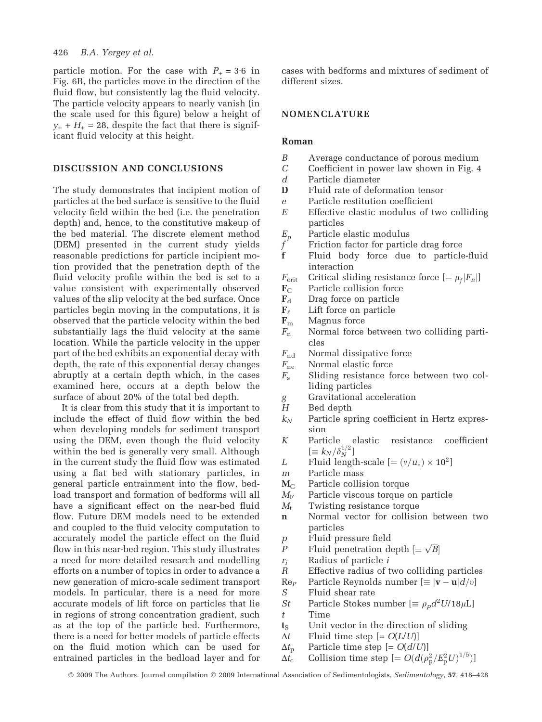#### 426 B.A. Yergey et al.

particle motion. For the case with  $P_+ = 3.6$  in Fig. 6B, the particles move in the direction of the fluid flow, but consistently lag the fluid velocity. The particle velocity appears to nearly vanish (in the scale used for this figure) below a height of  $v_{+} + H_{+} = 28$ , despite the fact that there is significant fluid velocity at this height.

# DISCUSSION AND CONCLUSIONS

The study demonstrates that incipient motion of particles at the bed surface is sensitive to the fluid velocity field within the bed (i.e. the penetration depth) and, hence, to the constitutive makeup of the bed material. The discrete element method (DEM) presented in the current study yields reasonable predictions for particle incipient motion provided that the penetration depth of the fluid velocity profile within the bed is set to a value consistent with experimentally observed values of the slip velocity at the bed surface. Once particles begin moving in the computations, it is observed that the particle velocity within the bed substantially lags the fluid velocity at the same location. While the particle velocity in the upper part of the bed exhibits an exponential decay with depth, the rate of this exponential decay changes abruptly at a certain depth which, in the cases examined here, occurs at a depth below the surface of about 20% of the total bed depth.

It is clear from this study that it is important to include the effect of fluid flow within the bed when developing models for sediment transport using the DEM, even though the fluid velocity within the bed is generally very small. Although in the current study the fluid flow was estimated using a flat bed with stationary particles, in general particle entrainment into the flow, bedload transport and formation of bedforms will all have a significant effect on the near-bed fluid flow. Future DEM models need to be extended and coupled to the fluid velocity computation to accurately model the particle effect on the fluid flow in this near-bed region. This study illustrates a need for more detailed research and modelling efforts on a number of topics in order to advance a new generation of micro-scale sediment transport models. In particular, there is a need for more accurate models of lift force on particles that lie in regions of strong concentration gradient, such as at the top of the particle bed. Furthermore, there is a need for better models of particle effects on the fluid motion which can be used for entrained particles in the bedload layer and for

cases with bedforms and mixtures of sediment of different sizes.

## **NOMENCLATURE**

#### Roman

- B Average conductance of porous medium
- C Coefficient in power law shown in Fig. 4
- d Particle diameter
- D Fluid rate of deformation tensor
- e Particle restitution coefficient
- $E$  Effective elastic modulus of two colliding particles
- $E_p$  Particle elastic modulus<br>f Friction factor for partic
- $f$  Friction factor for particle drag force  $f$  Fluid body force due to particle
- Fluid body force due to particle-fluid interaction
- $F_{\text{crit}}$  Critical sliding resistance force  $[=\mu_f |F_n|]$ <br> $\mathbf{F}_C$  Particle collision force
- $\mathbf{F}_{\text{C}}$  Particle collision force<br> $\mathbf{F}_{\text{d}}$  Drag force on particle
- $\mathbf{F}_{\text{d}}$  Drag force on particle<br> $\mathbf{F}_{\ell}$  Lift force on particle
- Lift force on particle
- $\mathbf{F}_{\text{m}}$  Magnus force<br>  $F_{\text{n}}$  Normal force
- Normal force between two colliding particles
- $F_{\text{nd}}$  Normal dissipative force
- $F_{\text{ne}}$  Normal elastic force
- $F_s$  Sliding resistance force between two colliding particles
- g Gravitational acceleration
- H Bed depth
- $k_N$  Particle spring coefficient in Hertz expression
- K Particle elastic resistance coefficient  $[\equiv k_N/\delta_N^{1/2}]$

$$
L \qquad \text{Fluid length-scale } [=(v/u_*) \times 10^2]
$$

- m Particle mass
- $M<sub>C</sub>$  Particle collision torque
- $M_F$  Particle viscous torque on particle<br> $M_t$  Twisting resistance torque
- Twisting resistance torque
- n Normal vector for collision between two particles
- p Fluid pressure field
- $p$  Finid pressure neid<br>  $P$  Fluid penetration depth  $[\equiv \sqrt{B}]$
- $r_i$  Radius of particle i
- R Effective radius of two colliding particles
- Rep Particle Reynolds number  $[\equiv |\mathbf{v} \mathbf{u}|d/v]$ <br>S Fluid shear rate
- Fluid shear rate
- St Particle Stokes number  $[\equiv \rho_p d^2 U/18 \mu L]$ t Time
- $t<sub>S</sub>$  Unit vector in the direction of sliding
- $\Delta t$  Fluid time step  $[= O(L/U)]$
- $\Delta t_{\rm p}$  Particle time step [=  $O(d/U)$ ]
- $\Delta t_{\rm c}$  Collision time step  $[=O(d(\rho_{\rm p}^2/E_{\rm p}^2U)^{1/5})]$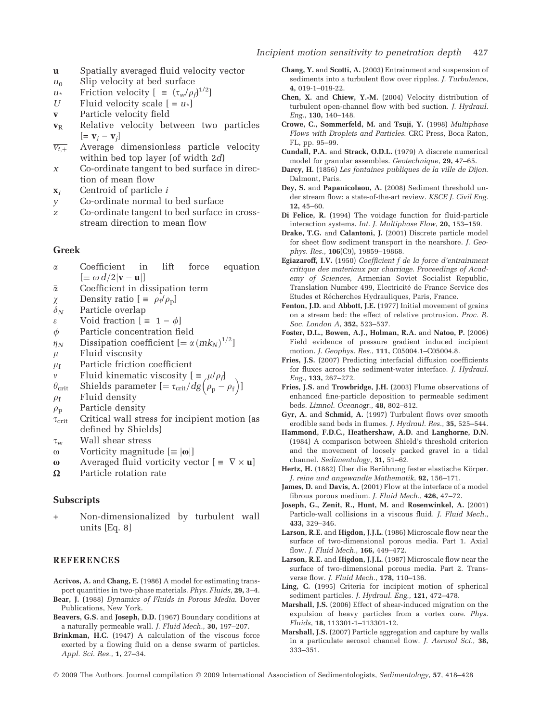- u Spatially averaged fluid velocity vector
- $u_0$  Slip velocity at bed surface
- $u_*$  Friction velocity  $[$  =  $(\tau_w/\rho_f)^{1/2}]$
- U Fluid velocity scale  $\left[ = u^* \right]$
- v Particle velocity field
- $v_R$  Relative velocity between two particles  $\left[ = \mathbf{v}_i - \mathbf{v}_i \right]$
- $\overline{v_{t,+}}$  Average dimensionless particle velocity within bed top layer (of width 2d)
- x Co-ordinate tangent to bed surface in direction of mean flow
- $x_i$  Centroid of particle *i*
- y Co-ordinate normal to bed surface
- z Co-ordinate tangent to bed surface in crossstream direction to mean flow

#### Greek

| $\alpha$ | Coefficient in lift force equation           |  |  |
|----------|----------------------------------------------|--|--|
|          | $[\equiv \omega d/2 \mathbf{v}-\mathbf{u} ]$ |  |  |
|          |                                              |  |  |

- $\bar{\alpha}$ Coefficient in dissipation term
- $\chi$  Density ratio [  $\equiv \rho_f/\rho_p$ ]
- $\delta_N$  Particle overlap
- $\varepsilon$  Void fraction  $[ = 1 \phi]$
- $\phi$  Particle concentration field
- $\eta_N$  Dissipation coefficient  $[=\alpha (mk_N)^{1/2}]$
- $\mu$  Fluid viscosity
- $\mu_f$  Particle friction coefficient
- $\lim_{\nu}$  Fluid kinematic viscosity  $\left[ \equiv \mu/\rho_f \right]$
- $\theta_{\text{crit}}$  Fiuld Kinematic viscosity  $l \equiv \frac{\mu \rho_f}{\rho_p \rho_f}$
- $\rho_f$  Fluid density
- $\rho_{\rm p}$  Particle density
- $\tau_{\text{crit}}$  Critical wall stress for incipient motion (as defined by Shields)
- $\tau_{\rm w}$  Wall shear stress
- $\omega$  Vorticity magnitude  $[\equiv |\omega|]$
- $\omega$  Averaged fluid vorticity vector  $[ \equiv \nabla \times \mathbf{u}]$
- $\Omega$  Particle rotation rate

#### **Subscripts**

+ Non-dimensionalized by turbulent wall units [Eq. 8]

#### REFERENCES

- Acrivos, A. and Chang, E. (1986) A model for estimating transport quantities in two-phase materials. Phys. Fluids, 29, 3–4.
- Bear, J. (1988) Dynamics of Fluids in Porous Media. Dover Publications, New York.
- Beavers, G.S. and Joseph, D.D. (1967) Boundary conditions at a naturally permeable wall. J. Fluid Mech., 30, 197–207.
- Brinkman, H.C. (1947) A calculation of the viscous force exerted by a flowing fluid on a dense swarm of particles. Appl. Sci. Res., 1, 27–34.
- Chang, Y. and Scotti, A. (2003) Entrainment and suspension of sediments into a turbulent flow over ripples. J. Turbulence, 4, 019-1–019-22.
- Chen, X. and Chiew, Y.-M. (2004) Velocity distribution of turbulent open-channel flow with bed suction. J. Hydraul. Eng., 130, 140–148.
- Crowe, C., Sommerfeld, M. and Tsuji, Y. (1998) Multiphase Flows with Droplets and Particles. CRC Press, Boca Raton, FL, pp. 95–99.
- Cundall, P.A. and Strack, O.D.L. (1979) A discrete numerical model for granular assembles. Geotechnique, 29, 47–65.
- Darcy, H. (1856) Les fontaines publiques de la ville de Dijon. Dalmont, Paris.
- Dey, S. and Papanicolaou, A. (2008) Sediment threshold under stream flow: a state-of-the-art review. KSCE J. Civil Eng. 12, 45–60.
- Di Felice, R. (1994) The voidage function for fluid-particle interaction systems. Int. J. Multiphase Flow, 20, 153–159.
- Drake, T.G. and Calantoni, J. (2001) Discrete particle model for sheet flow sediment transport in the nearshore. J. Geophys. Res., 106(C9), 19859–19868.
- Egiazaroff, I.V. (1950) Coefficient f de la force d'entrainment critique des materiaux par charriage. Proceedings of Academy of Sciences, Armenian Soviet Socialist Republic, Translation Number 499, Electricité de France Service des Etudes et Récherches Hydrauliques, Paris, France.
- Fenton, J.D. and Abbott, J.E. (1977) Initial movement of grains on a stream bed: the effect of relative protrusion. Proc. R. Soc. London A, 352, 523–537.
- Foster, D.L., Bowen, A.J., Holman, R.A. and Natoo, P. (2006) Field evidence of pressure gradient induced incipient motion. J. Geophys. Res., 111, C05004.1–C05004.8.
- Fries, J.S. (2007) Predicting interfacial diffusion coefficients for fluxes across the sediment-water interface. J. Hydraul. Eng., 133, 267–272.
- Fries, J.S. and Trowbridge, J.H. (2003) Flume observations of enhanced fine-particle deposition to permeable sediment beds. Limnol. Oceanogr., 48, 802–812.
- Gyr, A. and Schmid, A. (1997) Turbulent flows over smooth erodible sand beds in flumes. J. Hydraul. Res., 35, 525–544.
- Hammond, F.D.C., Heathershaw, A.D. and Langhorne, D.N. (1984) A comparison between Shield's threshold criterion and the movement of loosely packed gravel in a tidal channel. Sedimentology, 31, 51–62.
- Hertz, H. (1882) Über die Berührung fester elastische Körper. J. reine und angewandte Mathematik, 92, 156–171.
- James, D. and Davis, A. (2001) Flow at the interface of a model fibrous porous medium. J. Fluid Mech., 426, 47–72.
- Joseph, G., Zenit, R., Hunt, M. and Rosenwinkel, A. (2001) Particle-wall collisions in a viscous fluid. J. Fluid Mech., 433, 329–346.
- Larson, R.E. and Higdon, J.J.L. (1986) Microscale flow near the surface of two-dimensional porous media. Part 1. Axial flow. J. Fluid Mech., 166, 449–472.
- Larson, R.E. and Higdon, J.J.L. (1987) Microscale flow near the surface of two-dimensional porous media. Part 2. Transverse flow. J. Fluid Mech., 178, 110–136.
- Ling, C. (1995) Criteria for incipient motion of spherical sediment particles. J. Hydraul. Eng., 121, 472–478.
- Marshall, J.S. (2006) Effect of shear-induced migration on the expulsion of heavy particles from a vortex core. Phys. Fluids, 18, 113301-1–113301-12.
- Marshall, J.S. (2007) Particle aggregation and capture by walls in a particulate aerosol channel flow. J. Aerosol Sci., 38, 333–351.